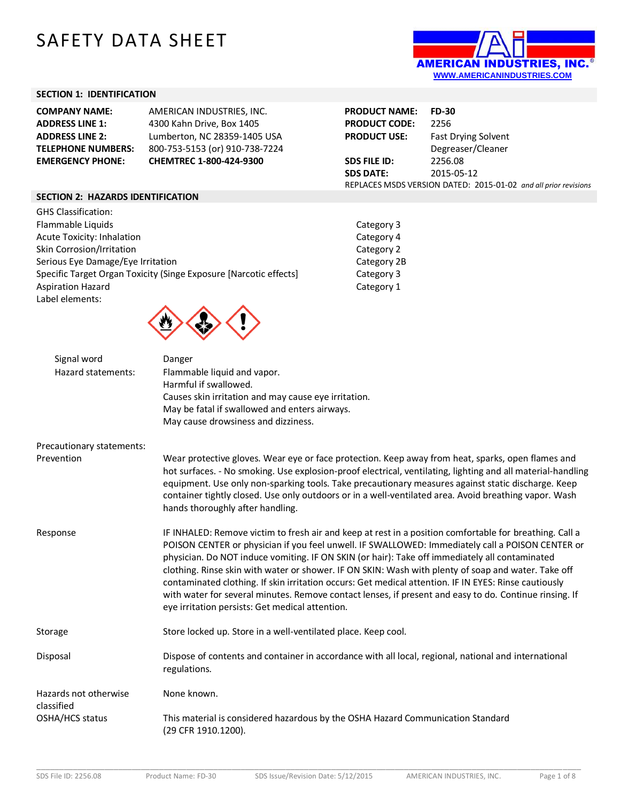# SAFETY DATA SHEET



# **SECTION 1: IDENTIFICATION**

| <b>COMPANY NAME:</b>      | AMERICAN INDUSTRIES, INC.      | <b>PRODUCT NAME:</b>                                            | <b>FD-30</b>               |
|---------------------------|--------------------------------|-----------------------------------------------------------------|----------------------------|
| <b>ADDRESS LINE 1:</b>    | 4300 Kahn Drive, Box 1405      | <b>PRODUCT CODE:</b>                                            | 2256                       |
| <b>ADDRESS LINE 2:</b>    | Lumberton, NC 28359-1405 USA   | <b>PRODUCT USE:</b>                                             | <b>Fast Drying Solvent</b> |
| <b>TELEPHONE NUMBERS:</b> | 800-753-5153 (or) 910-738-7224 |                                                                 | Degreaser/Cleaner          |
| <b>EMERGENCY PHONE:</b>   | <b>CHEMTREC 1-800-424-9300</b> | SDS FILE ID:                                                    | 2256.08                    |
|                           |                                | <b>SDS DATE:</b>                                                | 2015-05-12                 |
|                           |                                | REPLACES MSDS VERSION DATED: 2015-01-02 and all prior revisions |                            |

### **SECTION 2: HAZARDS IDENTIFICATION**

| <b>GHS Classification:</b>                                        |
|-------------------------------------------------------------------|
| Flammable Liquids                                                 |
| Acute Toxicity: Inhalation                                        |
| Skin Corrosion/Irritation                                         |
| Serious Eye Damage/Eye Irritation                                 |
| Specific Target Organ Toxicity (Singe Exposure [Narcotic effects] |
| <b>Aspiration Hazard</b>                                          |
| Label elements:                                                   |
|                                                                   |

Category 3 Category 4 Category 2 Category 2B Category 3 Category 1



| Signal word<br>Hazard statements:   | Danger<br>Flammable liquid and vapor.<br>Harmful if swallowed.<br>Causes skin irritation and may cause eye irritation.<br>May be fatal if swallowed and enters airways.<br>May cause drowsiness and dizziness.                                                                                                                                                                                                                                                                                                                                                                                                                                                                             |
|-------------------------------------|--------------------------------------------------------------------------------------------------------------------------------------------------------------------------------------------------------------------------------------------------------------------------------------------------------------------------------------------------------------------------------------------------------------------------------------------------------------------------------------------------------------------------------------------------------------------------------------------------------------------------------------------------------------------------------------------|
| Precautionary statements:           |                                                                                                                                                                                                                                                                                                                                                                                                                                                                                                                                                                                                                                                                                            |
| Prevention                          | Wear protective gloves. Wear eye or face protection. Keep away from heat, sparks, open flames and<br>hot surfaces. - No smoking. Use explosion-proof electrical, ventilating, lighting and all material-handling<br>equipment. Use only non-sparking tools. Take precautionary measures against static discharge. Keep<br>container tightly closed. Use only outdoors or in a well-ventilated area. Avoid breathing vapor. Wash<br>hands thoroughly after handling.                                                                                                                                                                                                                        |
| Response                            | IF INHALED: Remove victim to fresh air and keep at rest in a position comfortable for breathing. Call a<br>POISON CENTER or physician if you feel unwell. IF SWALLOWED: Immediately call a POISON CENTER or<br>physician. Do NOT induce vomiting. IF ON SKIN (or hair): Take off immediately all contaminated<br>clothing. Rinse skin with water or shower. IF ON SKIN: Wash with plenty of soap and water. Take off<br>contaminated clothing. If skin irritation occurs: Get medical attention. IF IN EYES: Rinse cautiously<br>with water for several minutes. Remove contact lenses, if present and easy to do. Continue rinsing. If<br>eye irritation persists: Get medical attention. |
| Storage                             | Store locked up. Store in a well-ventilated place. Keep cool.                                                                                                                                                                                                                                                                                                                                                                                                                                                                                                                                                                                                                              |
| Disposal                            | Dispose of contents and container in accordance with all local, regional, national and international<br>regulations.                                                                                                                                                                                                                                                                                                                                                                                                                                                                                                                                                                       |
| Hazards not otherwise<br>classified | None known.                                                                                                                                                                                                                                                                                                                                                                                                                                                                                                                                                                                                                                                                                |
| OSHA/HCS status                     | This material is considered hazardous by the OSHA Hazard Communication Standard<br>(29 CFR 1910.1200).                                                                                                                                                                                                                                                                                                                                                                                                                                                                                                                                                                                     |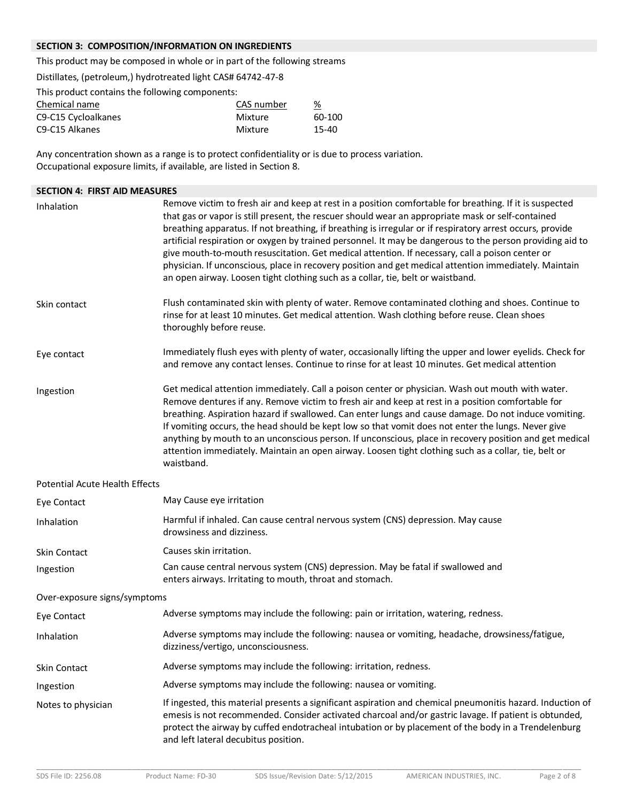# **SECTION 3: COMPOSITION/INFORMATION ON INGREDIENTS**

This product may be composed in whole or in part of the following streams

Distillates, (petroleum,) hydrotreated light CAS# 64742-47-8

This product contains the following components:

| Chemical name       | CAS number | %      |
|---------------------|------------|--------|
| C9-C15 Cycloalkanes | Mixture    | 60-100 |
| C9-C15 Alkanes      | Mixture    | 15-40  |

Any concentration shown as a range is to protect confidentiality or is due to process variation. Occupational exposure limits, if available, are listed in Section 8.

# **SECTION 4: FIRST AID MEASURES** Inhalation **Remove victim to fresh air and keep at rest** in a position comfortable for breathing. If it is suspected that gas or vapor is still present, the rescuer should wear an appropriate mask or self-contained breathing apparatus. If not breathing, if breathing is irregular or if respiratory arrest occurs, provide artificial respiration or oxygen by trained personnel. It may be dangerous to the person providing aid to give mouth-to-mouth resuscitation. Get medical attention. If necessary, call a poison center or physician. If unconscious, place in recovery position and get medical attention immediately. Maintain an open airway. Loosen tight clothing such as a collar, tie, belt or waistband. Skin contact Flush contaminated skin with plenty of water. Remove contaminated clothing and shoes. Continue to rinse for at least 10 minutes. Get medical attention. Wash clothing before reuse. Clean shoes thoroughly before reuse. Eye contact Immediately flush eyes with plenty of water, occasionally lifting the upper and lower eyelids. Check for and remove any contact lenses. Continue to rinse for at least 10 minutes. Get medical attention Ingestion Get medical attention immediately. Call a poison center or physician. Wash out mouth with water. Remove dentures if any. Remove victim to fresh air and keep at rest in a position comfortable for breathing. Aspiration hazard if swallowed. Can enter lungs and cause damage. Do not induce vomiting. If vomiting occurs, the head should be kept low so that vomit does not enter the lungs. Never give anything by mouth to an unconscious person. If unconscious, place in recovery position and get medical attention immediately. Maintain an open airway. Loosen tight clothing such as a collar, tie, belt or waistband. Potential Acute Health Effects Eye Contact May Cause eye irritation Inhalation Harmful if inhaled. Can cause central nervous system (CNS) depression. May cause drowsiness and dizziness. Skin Contact Causes skin irritation. Ingestion Can cause central nervous system (CNS) depression. May be fatal if swallowed and enters airways. Irritating to mouth, throat and stomach. Over-exposure signs/symptoms Eye Contact Adverse symptoms may include the following: pain or irritation, watering, redness. Inhalation Adverse symptoms may include the following: nausea or vomiting, headache, drowsiness/fatigue, dizziness/vertigo, unconsciousness. Skin Contact Adverse symptoms may include the following: irritation, redness. Ingestion Adverse symptoms may include the following: nausea or vomiting. Notes to physician **If ingested, this material presents a significant** aspiration and chemical pneumonitis hazard. Induction of emesis is not recommended. Consider activated charcoal and/or gastric lavage. If patient is obtunded, protect the airway by cuffed endotracheal intubation or by placement of the body in a Trendelenburg and left lateral decubitus position.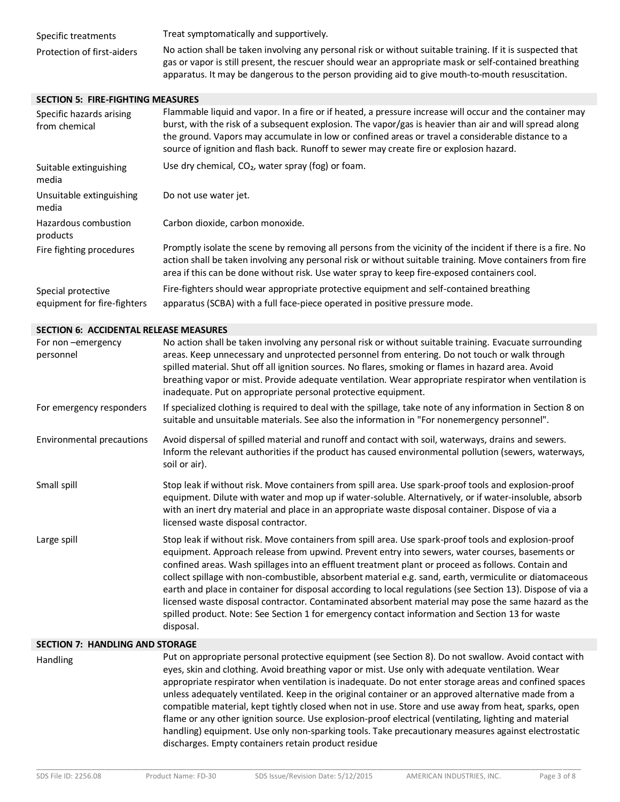| Specific treatments        | Treat symptomatically and supportively.                                                                    |
|----------------------------|------------------------------------------------------------------------------------------------------------|
| Protection of first-aiders | No action shall be taken involving any personal risk or without suitable training. If it is suspected that |
|                            | gas or vapor is still present, the rescuer should wear an appropriate mask or self-contained breathing     |
|                            | apparatus. It may be dangerous to the person providing aid to give mouth-to-mouth resuscitation.           |

#### **SECTION 5: FIRE-FIGHTING MEASURES**

| Specific hazards arising<br>from chemical         | Flammable liquid and vapor. In a fire or if heated, a pressure increase will occur and the container may<br>burst, with the risk of a subsequent explosion. The vapor/gas is heavier than air and will spread along<br>the ground. Vapors may accumulate in low or confined areas or travel a considerable distance to a<br>source of ignition and flash back. Runoff to sewer may create fire or explosion hazard. |
|---------------------------------------------------|---------------------------------------------------------------------------------------------------------------------------------------------------------------------------------------------------------------------------------------------------------------------------------------------------------------------------------------------------------------------------------------------------------------------|
| Suitable extinguishing<br>media                   | Use dry chemical, CO <sub>2</sub> , water spray (fog) or foam.                                                                                                                                                                                                                                                                                                                                                      |
| Unsuitable extinguishing<br>media                 | Do not use water jet.                                                                                                                                                                                                                                                                                                                                                                                               |
| Hazardous combustion<br>products                  | Carbon dioxide, carbon monoxide.                                                                                                                                                                                                                                                                                                                                                                                    |
| Fire fighting procedures                          | Promptly isolate the scene by removing all persons from the vicinity of the incident if there is a fire. No<br>action shall be taken involving any personal risk or without suitable training. Move containers from fire<br>area if this can be done without risk. Use water spray to keep fire-exposed containers cool.                                                                                            |
| Special protective<br>equipment for fire-fighters | Fire-fighters should wear appropriate protective equipment and self-contained breathing<br>apparatus (SCBA) with a full face-piece operated in positive pressure mode.                                                                                                                                                                                                                                              |

#### **SECTION 6: ACCIDENTAL RELEASE MEASURES**

| For non-emergency<br>personnel | No action shall be taken involving any personal risk or without suitable training. Evacuate surrounding<br>areas. Keep unnecessary and unprotected personnel from entering. Do not touch or walk through<br>spilled material. Shut off all ignition sources. No flares, smoking or flames in hazard area. Avoid<br>breathing vapor or mist. Provide adequate ventilation. Wear appropriate respirator when ventilation is<br>inadequate. Put on appropriate personal protective equipment.                                                                                                                                                                                                                                                                      |
|--------------------------------|-----------------------------------------------------------------------------------------------------------------------------------------------------------------------------------------------------------------------------------------------------------------------------------------------------------------------------------------------------------------------------------------------------------------------------------------------------------------------------------------------------------------------------------------------------------------------------------------------------------------------------------------------------------------------------------------------------------------------------------------------------------------|
| For emergency responders       | If specialized clothing is required to deal with the spillage, take note of any information in Section 8 on<br>suitable and unsuitable materials. See also the information in "For nonemergency personnel".                                                                                                                                                                                                                                                                                                                                                                                                                                                                                                                                                     |
| Environmental precautions      | Avoid dispersal of spilled material and runoff and contact with soil, waterways, drains and sewers.<br>Inform the relevant authorities if the product has caused environmental pollution (sewers, waterways,<br>soil or air).                                                                                                                                                                                                                                                                                                                                                                                                                                                                                                                                   |
| Small spill                    | Stop leak if without risk. Move containers from spill area. Use spark-proof tools and explosion-proof<br>equipment. Dilute with water and mop up if water-soluble. Alternatively, or if water-insoluble, absorb<br>with an inert dry material and place in an appropriate waste disposal container. Dispose of via a<br>licensed waste disposal contractor.                                                                                                                                                                                                                                                                                                                                                                                                     |
| Large spill                    | Stop leak if without risk. Move containers from spill area. Use spark-proof tools and explosion-proof<br>equipment. Approach release from upwind. Prevent entry into sewers, water courses, basements or<br>confined areas. Wash spillages into an effluent treatment plant or proceed as follows. Contain and<br>collect spillage with non-combustible, absorbent material e.g. sand, earth, vermiculite or diatomaceous<br>earth and place in container for disposal according to local regulations (see Section 13). Dispose of via a<br>licensed waste disposal contractor. Contaminated absorbent material may pose the same hazard as the<br>spilled product. Note: See Section 1 for emergency contact information and Section 13 for waste<br>disposal. |

#### **SECTION 7: HANDLING AND STORAGE**

Handling Put on appropriate personal protective equipment (see Section 8). Do not swallow. Avoid contact with eyes, skin and clothing. Avoid breathing vapor or mist. Use only with adequate ventilation. Wear appropriate respirator when ventilation is inadequate. Do not enter storage areas and confined spaces unless adequately ventilated. Keep in the original container or an approved alternative made from a compatible material, kept tightly closed when not in use. Store and use away from heat, sparks, open flame or any other ignition source. Use explosion-proof electrical (ventilating, lighting and material handling) equipment. Use only non-sparking tools. Take precautionary measures against electrostatic discharges. Empty containers retain product residue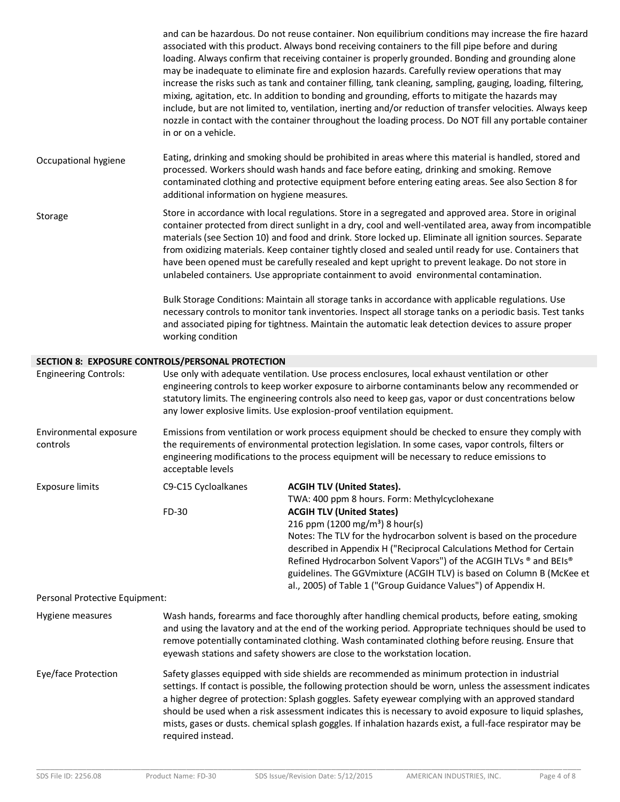and can be hazardous. Do not reuse container. Non equilibrium conditions may increase the fire hazard associated with this product. Always bond receiving containers to the fill pipe before and during loading. Always confirm that receiving container is properly grounded. Bonding and grounding alone may be inadequate to eliminate fire and explosion hazards. Carefully review operations that may increase the risks such as tank and container filling, tank cleaning, sampling, gauging, loading, filtering, mixing, agitation, etc. In addition to bonding and grounding, efforts to mitigate the hazards may include, but are not limited to, ventilation, inerting and/or reduction of transfer velocities. Always keep nozzle in contact with the container throughout the loading process. Do NOT fill any portable container in or on a vehicle. Occupational hygiene Eating, drinking and smoking should be prohibited in areas where this material is handled, stored and processed. Workers should wash hands and face before eating, drinking and smoking. Remove contaminated clothing and protective equipment before entering eating areas. See also Section 8 for additional information on hygiene measures. Storage Store in accordance with local regulations. Store in a segregated and approved area. Store in original container protected from direct sunlight in a dry, cool and well-ventilated area, away from incompatible materials (see Section 10) and food and drink. Store locked up. Eliminate all ignition sources. Separate from oxidizing materials. Keep container tightly closed and sealed until ready for use. Containers that have been opened must be carefully resealed and kept upright to prevent leakage. Do not store in unlabeled containers. Use appropriate containment to avoid environmental contamination. Bulk Storage Conditions: Maintain all storage tanks in accordance with applicable regulations. Use necessary controls to monitor tank inventories. Inspect all storage tanks on a periodic basis. Test tanks and associated piping for tightness. Maintain the automatic leak detection devices to assure proper working condition **SECTION 8: EXPOSURE CONTROLS/PERSONAL PROTECTION** Engineering Controls: Use only with adequate ventilation. Use process enclosures, local exhaust ventilation or other engineering controls to keep worker exposure to airborne contaminants below any recommended or statutory limits. The engineering controls also need to keep gas, vapor or dust concentrations below any lower explosive limits. Use explosion-proof ventilation equipment. Environmental exposure controls Emissions from ventilation or work process equipment should be checked to ensure they comply with the requirements of environmental protection legislation. In some cases, vapor controls, filters or engineering modifications to the process equipment will be necessary to reduce emissions to acceptable levels Exposure limits C9-C15 Cycloalkanes **ACGIH TLV (United States).** TWA: 400 ppm 8 hours. Form: Methylcyclohexane FD-30 **ACGIH TLV (United States)** 216 ppm (1200 mg/m<sup>3</sup>) 8 hour(s) Notes: The TLV for the hydrocarbon solvent is based on the procedure described in Appendix H ("Reciprocal Calculations Method for Certain Refined Hydrocarbon Solvent Vapors") of the ACGIH TLVs ® and BEIs® guidelines. The GGVmixture (ACGIH TLV) is based on Column B (McKee et al., 2005) of Table 1 ("Group Guidance Values") of Appendix H. Personal Protective Equipment: Hygiene measures Wash hands, forearms and face thoroughly after handling chemical products, before eating, smoking and using the lavatory and at the end of the working period. Appropriate techniques should be used to remove potentially contaminated clothing. Wash contaminated clothing before reusing. Ensure that eyewash stations and safety showers are close to the workstation location. Eye/face Protection Safety glasses equipped with side shields are recommended as minimum protection in industrial settings. If contact is possible, the following protection should be worn, unless the assessment indicates a higher degree of protection: Splash goggles. Safety eyewear complying with an approved standard should be used when a risk assessment indicates this is necessary to avoid exposure to liquid splashes, mists, gases or dusts. chemical splash goggles. If inhalation hazards exist, a full-face respirator may be required instead.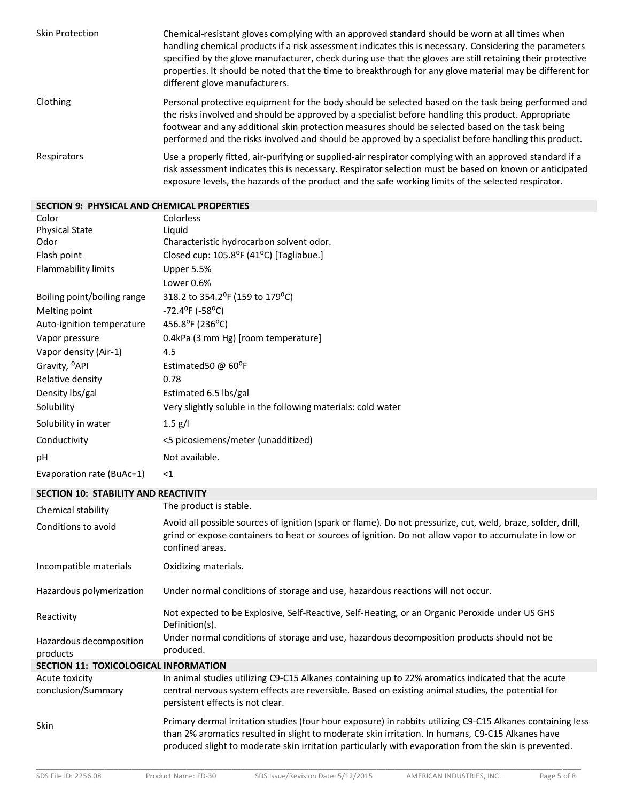| <b>Skin Protection</b> | Chemical-resistant gloves complying with an approved standard should be worn at all times when<br>handling chemical products if a risk assessment indicates this is necessary. Considering the parameters<br>specified by the glove manufacturer, check during use that the gloves are still retaining their protective<br>properties. It should be noted that the time to breakthrough for any glove material may be different for<br>different glove manufacturers. |
|------------------------|-----------------------------------------------------------------------------------------------------------------------------------------------------------------------------------------------------------------------------------------------------------------------------------------------------------------------------------------------------------------------------------------------------------------------------------------------------------------------|
| Clothing               | Personal protective equipment for the body should be selected based on the task being performed and<br>the risks involved and should be approved by a specialist before handling this product. Appropriate<br>footwear and any additional skin protection measures should be selected based on the task being<br>performed and the risks involved and should be approved by a specialist before handling this product.                                                |
| Respirators            | Use a properly fitted, air-purifying or supplied-air respirator complying with an approved standard if a<br>risk assessment indicates this is necessary. Respirator selection must be based on known or anticipated<br>exposure levels, the hazards of the product and the safe working limits of the selected respirator.                                                                                                                                            |

# **SECTION 9: PHYSICAL AND CHEMICAL PROPERTIES**

| Color                       | Colorless                                                         |
|-----------------------------|-------------------------------------------------------------------|
| <b>Physical State</b>       | Liquid                                                            |
| Odor                        | Characteristic hydrocarbon solvent odor.                          |
| Flash point                 | Closed cup: 105.8 <sup>o</sup> F (41 <sup>o</sup> C) [Tagliabue.] |
| <b>Flammability limits</b>  | Upper 5.5%                                                        |
|                             | Lower 0.6%                                                        |
| Boiling point/boiling range | 318.2 to 354.2 <sup>o</sup> F (159 to 179 <sup>o</sup> C)         |
| Melting point               | $-72.4$ <sup>o</sup> F ( $-58$ <sup>o</sup> C)                    |
| Auto-ignition temperature   | 456.8°F (236°C)                                                   |
| Vapor pressure              | 0.4kPa (3 mm Hg) [room temperature]                               |
| Vapor density (Air-1)       | 4.5                                                               |
| Gravity, <sup>o</sup> API   | Estimated50 @ 60°F                                                |
| Relative density            | 0.78                                                              |
| Density Ibs/gal             | Estimated 6.5 lbs/gal                                             |
| Solubility                  | Very slightly soluble in the following materials: cold water      |
| Solubility in water         | $1.5 \text{ g/l}$                                                 |
| Conductivity                | <5 picosiemens/meter (unadditized)                                |
| рH                          | Not available.                                                    |
| Evaporation rate (BuAc=1)   | $<$ 1                                                             |

# **SECTION 10: STABILITY AND REACTIVITY**

| Chemical stability                           | The product is stable.                                                                                                                                                                                                                                                                                                  |
|----------------------------------------------|-------------------------------------------------------------------------------------------------------------------------------------------------------------------------------------------------------------------------------------------------------------------------------------------------------------------------|
| Conditions to avoid                          | Avoid all possible sources of ignition (spark or flame). Do not pressurize, cut, weld, braze, solder, drill,<br>grind or expose containers to heat or sources of ignition. Do not allow vapor to accumulate in low or<br>confined areas.                                                                                |
| Incompatible materials                       | Oxidizing materials.                                                                                                                                                                                                                                                                                                    |
| Hazardous polymerization                     | Under normal conditions of storage and use, hazardous reactions will not occur.                                                                                                                                                                                                                                         |
| Reactivity                                   | Not expected to be Explosive, Self-Reactive, Self-Heating, or an Organic Peroxide under US GHS<br>Definition(s).                                                                                                                                                                                                        |
| Hazardous decomposition<br>products          | Under normal conditions of storage and use, hazardous decomposition products should not be<br>produced.                                                                                                                                                                                                                 |
| <b>SECTION 11: TOXICOLOGICAL INFORMATION</b> |                                                                                                                                                                                                                                                                                                                         |
| Acute toxicity<br>conclusion/Summary         | In animal studies utilizing C9-C15 Alkanes containing up to 22% aromatics indicated that the acute<br>central nervous system effects are reversible. Based on existing animal studies, the potential for<br>persistent effects is not clear.                                                                            |
| <b>Skin</b>                                  | Primary dermal irritation studies (four hour exposure) in rabbits utilizing C9-C15 Alkanes containing less<br>than 2% aromatics resulted in slight to moderate skin irritation. In humans, C9-C15 Alkanes have<br>produced slight to moderate skin irritation particularly with evaporation from the skin is prevented. |
|                                              |                                                                                                                                                                                                                                                                                                                         |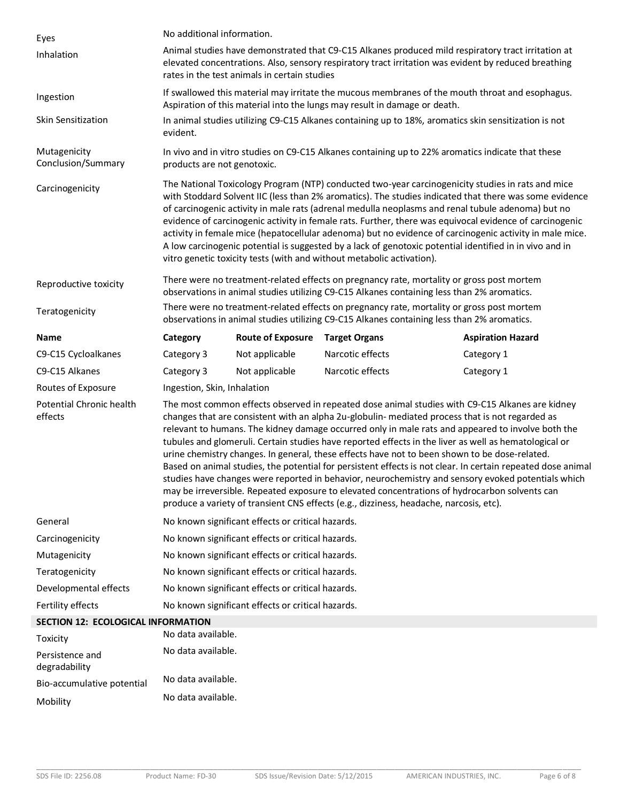| Eyes                                | No additional information.                                                                                                                                                                                                                                                                                                                                                                                                                                                                                                                                                                                                                                                                                                                                                                                                                                                                                                        |                          |                                                                                                                                                                                         |                          |
|-------------------------------------|-----------------------------------------------------------------------------------------------------------------------------------------------------------------------------------------------------------------------------------------------------------------------------------------------------------------------------------------------------------------------------------------------------------------------------------------------------------------------------------------------------------------------------------------------------------------------------------------------------------------------------------------------------------------------------------------------------------------------------------------------------------------------------------------------------------------------------------------------------------------------------------------------------------------------------------|--------------------------|-----------------------------------------------------------------------------------------------------------------------------------------------------------------------------------------|--------------------------|
| Inhalation                          | Animal studies have demonstrated that C9-C15 Alkanes produced mild respiratory tract irritation at<br>elevated concentrations. Also, sensory respiratory tract irritation was evident by reduced breathing<br>rates in the test animals in certain studies                                                                                                                                                                                                                                                                                                                                                                                                                                                                                                                                                                                                                                                                        |                          |                                                                                                                                                                                         |                          |
| Ingestion                           | If swallowed this material may irritate the mucous membranes of the mouth throat and esophagus.<br>Aspiration of this material into the lungs may result in damage or death.                                                                                                                                                                                                                                                                                                                                                                                                                                                                                                                                                                                                                                                                                                                                                      |                          |                                                                                                                                                                                         |                          |
| Skin Sensitization                  | evident.                                                                                                                                                                                                                                                                                                                                                                                                                                                                                                                                                                                                                                                                                                                                                                                                                                                                                                                          |                          | In animal studies utilizing C9-C15 Alkanes containing up to 18%, aromatics skin sensitization is not                                                                                    |                          |
| Mutagenicity<br>Conclusion/Summary  | products are not genotoxic.                                                                                                                                                                                                                                                                                                                                                                                                                                                                                                                                                                                                                                                                                                                                                                                                                                                                                                       |                          | In vivo and in vitro studies on C9-C15 Alkanes containing up to 22% aromatics indicate that these                                                                                       |                          |
| Carcinogenicity                     | The National Toxicology Program (NTP) conducted two-year carcinogenicity studies in rats and mice<br>with Stoddard Solvent IIC (less than 2% aromatics). The studies indicated that there was some evidence<br>of carcinogenic activity in male rats (adrenal medulla neoplasms and renal tubule adenoma) but no<br>evidence of carcinogenic activity in female rats. Further, there was equivocal evidence of carcinogenic<br>activity in female mice (hepatocellular adenoma) but no evidence of carcinogenic activity in male mice.<br>A low carcinogenic potential is suggested by a lack of genotoxic potential identified in in vivo and in<br>vitro genetic toxicity tests (with and without metabolic activation).                                                                                                                                                                                                        |                          |                                                                                                                                                                                         |                          |
| Reproductive toxicity               | There were no treatment-related effects on pregnancy rate, mortality or gross post mortem<br>observations in animal studies utilizing C9-C15 Alkanes containing less than 2% aromatics.                                                                                                                                                                                                                                                                                                                                                                                                                                                                                                                                                                                                                                                                                                                                           |                          |                                                                                                                                                                                         |                          |
| Teratogenicity                      |                                                                                                                                                                                                                                                                                                                                                                                                                                                                                                                                                                                                                                                                                                                                                                                                                                                                                                                                   |                          | There were no treatment-related effects on pregnancy rate, mortality or gross post mortem<br>observations in animal studies utilizing C9-C15 Alkanes containing less than 2% aromatics. |                          |
| Name                                | Category                                                                                                                                                                                                                                                                                                                                                                                                                                                                                                                                                                                                                                                                                                                                                                                                                                                                                                                          | <b>Route of Exposure</b> | <b>Target Organs</b>                                                                                                                                                                    | <b>Aspiration Hazard</b> |
| C9-C15 Cycloalkanes                 | Category 3                                                                                                                                                                                                                                                                                                                                                                                                                                                                                                                                                                                                                                                                                                                                                                                                                                                                                                                        | Not applicable           | Narcotic effects                                                                                                                                                                        | Category 1               |
| C9-C15 Alkanes                      | Category 3                                                                                                                                                                                                                                                                                                                                                                                                                                                                                                                                                                                                                                                                                                                                                                                                                                                                                                                        | Not applicable           | Narcotic effects                                                                                                                                                                        | Category 1               |
| Routes of Exposure                  | Ingestion, Skin, Inhalation                                                                                                                                                                                                                                                                                                                                                                                                                                                                                                                                                                                                                                                                                                                                                                                                                                                                                                       |                          |                                                                                                                                                                                         |                          |
| Potential Chronic health<br>effects | The most common effects observed in repeated dose animal studies with C9-C15 Alkanes are kidney<br>changes that are consistent with an alpha 2u-globulin- mediated process that is not regarded as<br>relevant to humans. The kidney damage occurred only in male rats and appeared to involve both the<br>tubules and glomeruli. Certain studies have reported effects in the liver as well as hematological or<br>urine chemistry changes. In general, these effects have not to been shown to be dose-related.<br>Based on animal studies, the potential for persistent effects is not clear. In certain repeated dose animal<br>studies have changes were reported in behavior, neurochemistry and sensory evoked potentials which<br>may be irreversible. Repeated exposure to elevated concentrations of hydrocarbon solvents can<br>produce a variety of transient CNS effects (e.g., dizziness, headache, narcosis, etc). |                          |                                                                                                                                                                                         |                          |
| General                             | No known significant effects or critical hazards.                                                                                                                                                                                                                                                                                                                                                                                                                                                                                                                                                                                                                                                                                                                                                                                                                                                                                 |                          |                                                                                                                                                                                         |                          |
| Carcinogenicity                     | No known significant effects or critical hazards.                                                                                                                                                                                                                                                                                                                                                                                                                                                                                                                                                                                                                                                                                                                                                                                                                                                                                 |                          |                                                                                                                                                                                         |                          |
| Mutagenicity                        | No known significant effects or critical hazards.                                                                                                                                                                                                                                                                                                                                                                                                                                                                                                                                                                                                                                                                                                                                                                                                                                                                                 |                          |                                                                                                                                                                                         |                          |
| Teratogenicity                      | No known significant effects or critical hazards.                                                                                                                                                                                                                                                                                                                                                                                                                                                                                                                                                                                                                                                                                                                                                                                                                                                                                 |                          |                                                                                                                                                                                         |                          |
| Developmental effects               | No known significant effects or critical hazards.                                                                                                                                                                                                                                                                                                                                                                                                                                                                                                                                                                                                                                                                                                                                                                                                                                                                                 |                          |                                                                                                                                                                                         |                          |
| Fertility effects                   | No known significant effects or critical hazards.                                                                                                                                                                                                                                                                                                                                                                                                                                                                                                                                                                                                                                                                                                                                                                                                                                                                                 |                          |                                                                                                                                                                                         |                          |
| SECTION 12: ECOLOGICAL INFORMATION  |                                                                                                                                                                                                                                                                                                                                                                                                                                                                                                                                                                                                                                                                                                                                                                                                                                                                                                                                   |                          |                                                                                                                                                                                         |                          |
| Toxicity                            | No data available.                                                                                                                                                                                                                                                                                                                                                                                                                                                                                                                                                                                                                                                                                                                                                                                                                                                                                                                |                          |                                                                                                                                                                                         |                          |
| Persistence and<br>degradability    | No data available.                                                                                                                                                                                                                                                                                                                                                                                                                                                                                                                                                                                                                                                                                                                                                                                                                                                                                                                |                          |                                                                                                                                                                                         |                          |
| Bio-accumulative potential          | No data available.                                                                                                                                                                                                                                                                                                                                                                                                                                                                                                                                                                                                                                                                                                                                                                                                                                                                                                                |                          |                                                                                                                                                                                         |                          |
| Mobility                            | No data available.                                                                                                                                                                                                                                                                                                                                                                                                                                                                                                                                                                                                                                                                                                                                                                                                                                                                                                                |                          |                                                                                                                                                                                         |                          |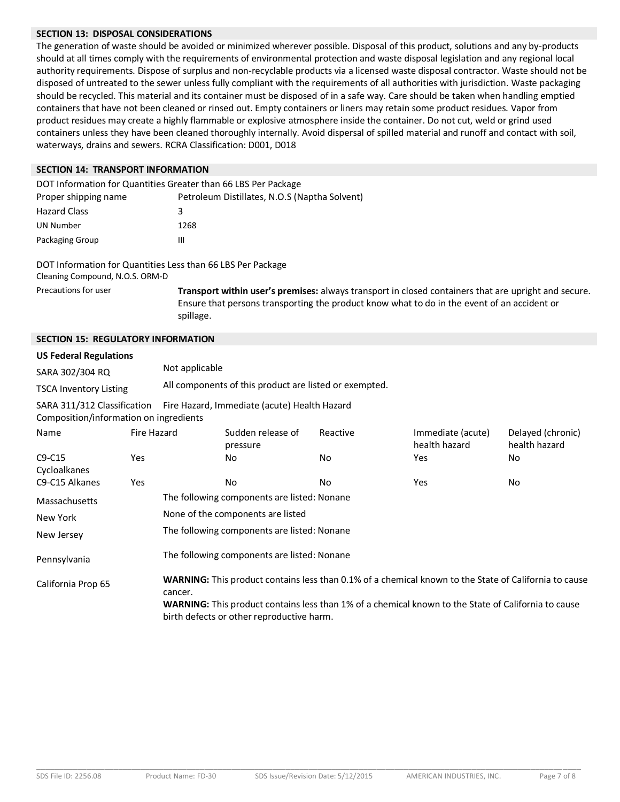# **SECTION 13: DISPOSAL CONSIDERATIONS**

The generation of waste should be avoided or minimized wherever possible. Disposal of this product, solutions and any by-products should at all times comply with the requirements of environmental protection and waste disposal legislation and any regional local authority requirements. Dispose of surplus and non-recyclable products via a licensed waste disposal contractor. Waste should not be disposed of untreated to the sewer unless fully compliant with the requirements of all authorities with jurisdiction. Waste packaging should be recycled. This material and its container must be disposed of in a safe way. Care should be taken when handling emptied containers that have not been cleaned or rinsed out. Empty containers or liners may retain some product residues. Vapor from product residues may create a highly flammable or explosive atmosphere inside the container. Do not cut, weld or grind used containers unless they have been cleaned thoroughly internally. Avoid dispersal of spilled material and runoff and contact with soil, waterways, drains and sewers. RCRA Classification: D001, D018

# **SECTION 14: TRANSPORT INFORMATION**

| DOT Information for Quantities Greater than 66 LBS Per Package |                                               |  |  |
|----------------------------------------------------------------|-----------------------------------------------|--|--|
| Proper shipping name                                           | Petroleum Distillates, N.O.S (Naptha Solvent) |  |  |
| <b>Hazard Class</b>                                            | 3                                             |  |  |
| UN Number                                                      | 1268                                          |  |  |
| Packaging Group                                                | Ш                                             |  |  |

DOT Information for Quantities Less than 66 LBS Per Package Cleaning Compound, N.O.S. ORM-D

Precautions for user **Transport within user's premises:** always transport in closed containers that are upright and secure. Ensure that persons transporting the product know what to do in the event of an accident or spillage.

# **SECTION 15: REGULATORY INFORMATION**

#### **US Federal Regulations**

| SARA 302/304 RQ               | Not applicable                                         |
|-------------------------------|--------------------------------------------------------|
| <b>TSCA Inventory Listing</b> | All components of this product are listed or exempted. |

SARA 311/312 Classification Fire Hazard, Immediate (acute) Health Hazard

Composition/information on ingredients

| Name               | Fire Hazard |                                                                                                                                                  | Sudden release of<br>pressure                                                                                | Reactive | Immediate (acute)<br>health hazard | Delayed (chronic)<br>health hazard |  |
|--------------------|-------------|--------------------------------------------------------------------------------------------------------------------------------------------------|--------------------------------------------------------------------------------------------------------------|----------|------------------------------------|------------------------------------|--|
| $C9-C15$           | Yes.        |                                                                                                                                                  | No.                                                                                                          | No.      | Yes.                               | No                                 |  |
| Cycloalkanes       |             |                                                                                                                                                  |                                                                                                              |          |                                    |                                    |  |
| C9-C15 Alkanes     | Yes.        |                                                                                                                                                  | No.                                                                                                          | No.      | Yes.                               | No                                 |  |
| Massachusetts      |             | The following components are listed: Nonane                                                                                                      |                                                                                                              |          |                                    |                                    |  |
| New York           |             | None of the components are listed                                                                                                                |                                                                                                              |          |                                    |                                    |  |
| New Jersey         |             | The following components are listed: Nonane                                                                                                      |                                                                                                              |          |                                    |                                    |  |
| Pennsylvania       |             | The following components are listed: Nonane                                                                                                      |                                                                                                              |          |                                    |                                    |  |
| California Prop 65 |             | cancer.                                                                                                                                          | <b>WARNING:</b> This product contains less than 0.1% of a chemical known to the State of California to cause |          |                                    |                                    |  |
|                    |             | WARNING: This product contains less than 1% of a chemical known to the State of California to cause<br>birth defects or other reproductive harm. |                                                                                                              |          |                                    |                                    |  |